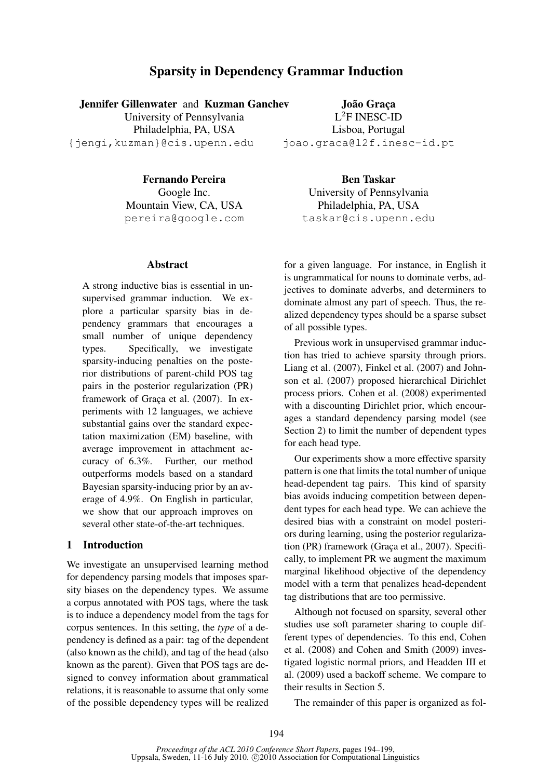# Sparsity in Dependency Grammar Induction

Jennifer Gillenwater and Kuzman Ganchev

University of Pennsylvania Philadelphia, PA, USA {jengi,kuzman}@cis.upenn.edu

João Graça L <sup>2</sup>F INESC-ID Lisboa, Portugal joao.graca@l2f.inesc-id.pt

Fernando Pereira Google Inc. Mountain View, CA, USA pereira@google.com

#### Abstract

A strong inductive bias is essential in unsupervised grammar induction. We explore a particular sparsity bias in dependency grammars that encourages a small number of unique dependency types. Specifically, we investigate sparsity-inducing penalties on the posterior distributions of parent-child POS tag pairs in the posterior regularization (PR) framework of Graça et al. (2007). In experiments with 12 languages, we achieve substantial gains over the standard expectation maximization (EM) baseline, with average improvement in attachment accuracy of 6.3%. Further, our method outperforms models based on a standard Bayesian sparsity-inducing prior by an average of 4.9%. On English in particular, we show that our approach improves on several other state-of-the-art techniques.

# 1 Introduction

We investigate an unsupervised learning method for dependency parsing models that imposes sparsity biases on the dependency types. We assume a corpus annotated with POS tags, where the task is to induce a dependency model from the tags for corpus sentences. In this setting, the *type* of a dependency is defined as a pair: tag of the dependent (also known as the child), and tag of the head (also known as the parent). Given that POS tags are designed to convey information about grammatical relations, it is reasonable to assume that only some of the possible dependency types will be realized

Ben Taskar University of Pennsylvania Philadelphia, PA, USA taskar@cis.upenn.edu

for a given language. For instance, in English it is ungrammatical for nouns to dominate verbs, adjectives to dominate adverbs, and determiners to dominate almost any part of speech. Thus, the realized dependency types should be a sparse subset of all possible types.

Previous work in unsupervised grammar induction has tried to achieve sparsity through priors. Liang et al. (2007), Finkel et al. (2007) and Johnson et al. (2007) proposed hierarchical Dirichlet process priors. Cohen et al. (2008) experimented with a discounting Dirichlet prior, which encourages a standard dependency parsing model (see Section 2) to limit the number of dependent types for each head type.

Our experiments show a more effective sparsity pattern is one that limits the total number of unique head-dependent tag pairs. This kind of sparsity bias avoids inducing competition between dependent types for each head type. We can achieve the desired bias with a constraint on model posteriors during learning, using the posterior regularization (PR) framework (Graça et al., 2007). Specifically, to implement PR we augment the maximum marginal likelihood objective of the dependency model with a term that penalizes head-dependent tag distributions that are too permissive.

Although not focused on sparsity, several other studies use soft parameter sharing to couple different types of dependencies. To this end, Cohen et al. (2008) and Cohen and Smith (2009) investigated logistic normal priors, and Headden III et al. (2009) used a backoff scheme. We compare to their results in Section 5.

The remainder of this paper is organized as fol-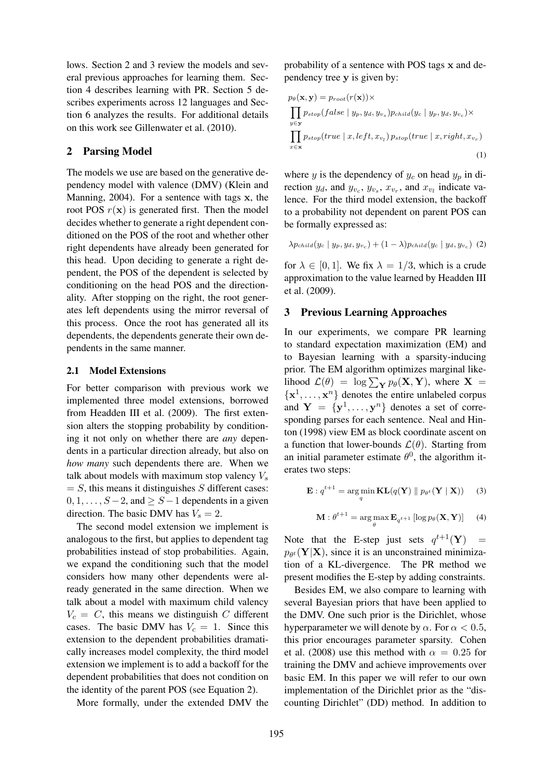lows. Section 2 and 3 review the models and several previous approaches for learning them. Section 4 describes learning with PR. Section 5 describes experiments across 12 languages and Section 6 analyzes the results. For additional details on this work see Gillenwater et al. (2010).

## 2 Parsing Model

The models we use are based on the generative dependency model with valence (DMV) (Klein and Manning, 2004). For a sentence with tags x, the root POS  $r(x)$  is generated first. Then the model decides whether to generate a right dependent conditioned on the POS of the root and whether other right dependents have already been generated for this head. Upon deciding to generate a right dependent, the POS of the dependent is selected by conditioning on the head POS and the directionality. After stopping on the right, the root generates left dependents using the mirror reversal of this process. Once the root has generated all its dependents, the dependents generate their own dependents in the same manner.

#### 2.1 Model Extensions

For better comparison with previous work we implemented three model extensions, borrowed from Headden III et al. (2009). The first extension alters the stopping probability by conditioning it not only on whether there are *any* dependents in a particular direction already, but also on *how many* such dependents there are. When we talk about models with maximum stop valency  $V_s$  $= S$ , this means it distinguishes S different cases:  $0, 1, \ldots, S-2$ , and  $\geq S-1$  dependents in a given direction. The basic DMV has  $V_s = 2$ .

The second model extension we implement is analogous to the first, but applies to dependent tag probabilities instead of stop probabilities. Again, we expand the conditioning such that the model considers how many other dependents were already generated in the same direction. When we talk about a model with maximum child valency  $V_c = C$ , this means we distinguish C different cases. The basic DMV has  $V_c = 1$ . Since this extension to the dependent probabilities dramatically increases model complexity, the third model extension we implement is to add a backoff for the dependent probabilities that does not condition on the identity of the parent POS (see Equation 2).

More formally, under the extended DMV the

probability of a sentence with POS tags x and dependency tree y is given by:

$$
p_{\theta}(\mathbf{x}, \mathbf{y}) = p_{root}(r(\mathbf{x})) \times
$$
  
\n
$$
\prod_{y \in \mathbf{y}} p_{stop}(false \mid y_p, y_d, y_{v_s}) p_{child}(y_c \mid y_p, y_d, y_{v_c}) \times
$$
  
\n
$$
\prod_{x \in \mathbf{x}} p_{stop}(true \mid x, left, x_{v_l}) p_{stop}(true \mid x, right, x_{v_r})
$$
\n(1)

where y is the dependency of  $y_c$  on head  $y_p$  in direction  $y_d$ , and  $y_{v_c}$ ,  $y_{v_s}$ ,  $x_{v_r}$ , and  $x_{v_l}$  indicate valence. For the third model extension, the backoff to a probability not dependent on parent POS can be formally expressed as:

$$
\lambda p_{child}(y_c \mid y_p, y_d, y_{v_c}) + (1 - \lambda)p_{child}(y_c \mid y_d, y_{v_c})
$$
 (2)

for  $\lambda \in [0, 1]$ . We fix  $\lambda = 1/3$ , which is a crude approximation to the value learned by Headden III et al. (2009).

### 3 Previous Learning Approaches

In our experiments, we compare PR learning to standard expectation maximization (EM) and to Bayesian learning with a sparsity-inducing prior. The EM algorithm optimizes marginal likelihood  $\mathcal{L}(\theta) = \log \sum_{\mathbf{Y}} p_{\theta}(\mathbf{X}, \mathbf{Y})$ , where  $\mathbf{X} =$  $\{x^1, \ldots, x^n\}$  denotes the entire unlabeled corpus and  $Y = \{y^1, \ldots, y^n\}$  denotes a set of corresponding parses for each sentence. Neal and Hinton (1998) view EM as block coordinate ascent on a function that lower-bounds  $\mathcal{L}(\theta)$ . Starting from an initial parameter estimate  $\theta^0$ , the algorithm iterates two steps:

$$
\mathbf{E}: q^{t+1} = \underset{q}{\arg\min} \mathbf{KL}(q(\mathbf{Y}) \parallel p_{\theta^t}(\mathbf{Y} \mid \mathbf{X})) \qquad (3)
$$

$$
\mathbf{M}: \theta^{t+1} = \arg\max_{\theta} \mathbf{E}_{q^{t+1}} \left[ \log p_{\theta}(\mathbf{X}, \mathbf{Y}) \right] \quad (4)
$$

Note that the E-step just sets  $q^{t+1}(\mathbf{Y})$  =  $p_{\theta^t}(\mathbf{Y}|\mathbf{X})$ , since it is an unconstrained minimization of a KL-divergence. The PR method we present modifies the E-step by adding constraints.

Besides EM, we also compare to learning with several Bayesian priors that have been applied to the DMV. One such prior is the Dirichlet, whose hyperparameter we will denote by  $\alpha$ . For  $\alpha < 0.5$ , this prior encourages parameter sparsity. Cohen et al. (2008) use this method with  $\alpha = 0.25$  for training the DMV and achieve improvements over basic EM. In this paper we will refer to our own implementation of the Dirichlet prior as the "discounting Dirichlet" (DD) method. In addition to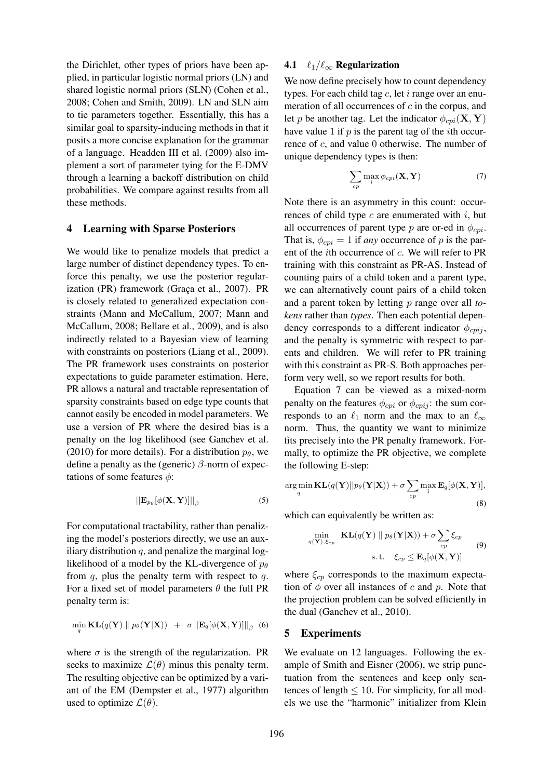the Dirichlet, other types of priors have been applied, in particular logistic normal priors (LN) and shared logistic normal priors (SLN) (Cohen et al., 2008; Cohen and Smith, 2009). LN and SLN aim to tie parameters together. Essentially, this has a similar goal to sparsity-inducing methods in that it posits a more concise explanation for the grammar of a language. Headden III et al. (2009) also implement a sort of parameter tying for the E-DMV through a learning a backoff distribution on child probabilities. We compare against results from all these methods.

## 4 Learning with Sparse Posteriors

We would like to penalize models that predict a large number of distinct dependency types. To enforce this penalty, we use the posterior regularization (PR) framework (Graça et al., 2007). PR is closely related to generalized expectation constraints (Mann and McCallum, 2007; Mann and McCallum, 2008; Bellare et al., 2009), and is also indirectly related to a Bayesian view of learning with constraints on posteriors (Liang et al., 2009). The PR framework uses constraints on posterior expectations to guide parameter estimation. Here, PR allows a natural and tractable representation of sparsity constraints based on edge type counts that cannot easily be encoded in model parameters. We use a version of PR where the desired bias is a penalty on the log likelihood (see Ganchev et al. (2010) for more details). For a distribution  $p_{\theta}$ , we define a penalty as the (generic)  $\beta$ -norm of expectations of some features  $\phi$ :

$$
\left\| \mathbf{E}_{p_{\theta}}[\phi(\mathbf{X}, \mathbf{Y})] \right\|_{\beta} \tag{5}
$$

For computational tractability, rather than penalizing the model's posteriors directly, we use an auxiliary distribution  $q$ , and penalize the marginal loglikelihood of a model by the KL-divergence of  $p_{\theta}$ from  $q$ , plus the penalty term with respect to  $q$ . For a fixed set of model parameters  $\theta$  the full PR penalty term is:

$$
\min_{q} \mathbf{KL}(q(\mathbf{Y}) \parallel p_{\theta}(\mathbf{Y}|\mathbf{X})) + \sigma ||\mathbf{E}_{q}[\phi(\mathbf{X}, \mathbf{Y})]||_{\beta}
$$
(6)

where  $\sigma$  is the strength of the regularization. PR seeks to maximize  $\mathcal{L}(\theta)$  minus this penalty term. The resulting objective can be optimized by a variant of the EM (Dempster et al., 1977) algorithm used to optimize  $\mathcal{L}(\theta)$ .

## 4.1  $\ell_1/\ell_\infty$  Regularization

We now define precisely how to count dependency types. For each child tag  $c$ , let  $i$  range over an enumeration of all occurrences of  $c$  in the corpus, and let p be another tag. Let the indicator  $\phi_{cm}(\mathbf{X}, \mathbf{Y})$ have value 1 if  $p$  is the parent tag of the *i*th occurrence of c, and value 0 otherwise. The number of unique dependency types is then:

$$
\sum_{cp} \max_{i} \phi_{cpi}(\mathbf{X}, \mathbf{Y})
$$
 (7)

Note there is an asymmetry in this count: occurrences of child type  $c$  are enumerated with  $i$ , but all occurrences of parent type p are or-ed in  $\phi_{\text{cpi}}$ . That is,  $\phi_{\text{c}ni} = 1$  if *any* occurrence of p is the parent of the ith occurrence of c. We will refer to PR training with this constraint as PR-AS. Instead of counting pairs of a child token and a parent type, we can alternatively count pairs of a child token and a parent token by letting p range over all *tokens* rather than *types*. Then each potential dependency corresponds to a different indicator  $\phi_{\text{cpi}i}$ , and the penalty is symmetric with respect to parents and children. We will refer to PR training with this constraint as PR-S. Both approaches perform very well, so we report results for both.

Equation 7 can be viewed as a mixed-norm penalty on the features  $\phi_{cpi}$  or  $\phi_{cpi}$ ; the sum corresponds to an  $\ell_1$  norm and the max to an  $\ell_{\infty}$ norm. Thus, the quantity we want to minimize fits precisely into the PR penalty framework. Formally, to optimize the PR objective, we complete the following E-step:

$$
\arg\min_{q} \mathbf{KL}(q(\mathbf{Y})||p_{\theta}(\mathbf{Y}|\mathbf{X})) + \sigma \sum_{cp} \max_{i} \mathbf{E}_{q}[\phi(\mathbf{X}, \mathbf{Y})],
$$
\n(8)

which can equivalently be written as:

$$
\min_{q(\mathbf{Y}), \xi_{cp}} \mathbf{KL}(q(\mathbf{Y}) \parallel p_{\theta}(\mathbf{Y}|\mathbf{X})) + \sigma \sum_{cp} \xi_{cp}
$$
\n
$$
\text{s.t.} \quad \xi_{cp} \leq \mathbf{E}_{q}[\phi(\mathbf{X}, \mathbf{Y})] \tag{9}
$$

where  $\xi_{cp}$  corresponds to the maximum expectation of  $\phi$  over all instances of c and p. Note that the projection problem can be solved efficiently in the dual (Ganchev et al., 2010).

### 5 Experiments

We evaluate on 12 languages. Following the example of Smith and Eisner (2006), we strip punctuation from the sentences and keep only sentences of length  $\leq 10$ . For simplicity, for all models we use the "harmonic" initializer from Klein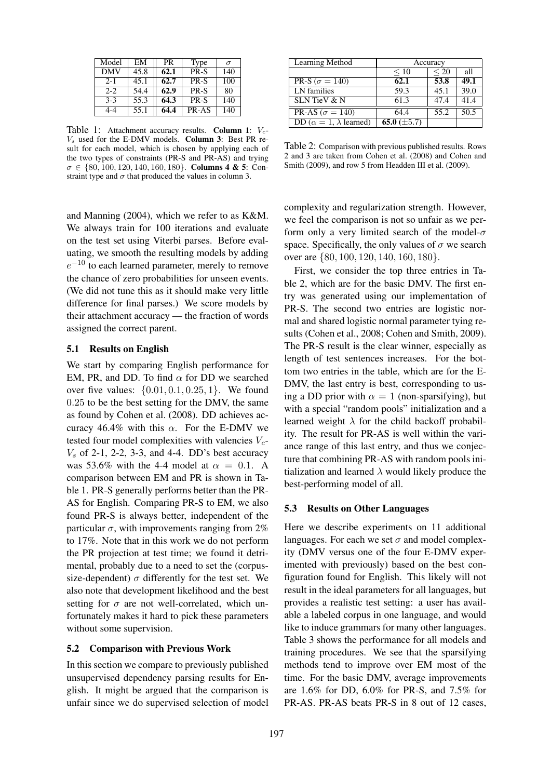| Model      | EM   | <b>PR</b> | Type  | $\sigma$ |
|------------|------|-----------|-------|----------|
| <b>DMV</b> | 45.8 | 62.1      | PR-S  | 140      |
| $2 - 1$    | 45.1 | 62.7      | PR-S  | 100      |
| $2 - 2$    | 54.4 | 62.9      | PR-S  | 80       |
| $3 - 3$    | 55.3 | 64.3      | PR-S  | 140      |
| 4-4        | 55.1 | 64.4      | PR-AS | 140      |

Table 1: Attachment accuracy results. Column 1:  $V_c$ - $V<sub>s</sub>$  used for the E-DMV models. Column 3: Best PR result for each model, which is chosen by applying each of the two types of constraints (PR-S and PR-AS) and trying  $\sigma \in \{80, 100, 120, 140, 160, 180\}$ . Columns 4 & 5: Constraint type and  $\sigma$  that produced the values in column 3.

and Manning (2004), which we refer to as K&M. We always train for 100 iterations and evaluate on the test set using Viterbi parses. Before evaluating, we smooth the resulting models by adding  $e^{-10}$  to each learned parameter, merely to remove the chance of zero probabilities for unseen events. (We did not tune this as it should make very little difference for final parses.) We score models by their attachment accuracy — the fraction of words assigned the correct parent.

## 5.1 Results on English

We start by comparing English performance for EM, PR, and DD. To find  $\alpha$  for DD we searched over five values:  $\{0.01, 0.1, 0.25, 1\}$ . We found 0.25 to be the best setting for the DMV, the same as found by Cohen et al. (2008). DD achieves accuracy 46.4% with this  $\alpha$ . For the E-DMV we tested four model complexities with valencies  $V_c$ - $V<sub>s</sub>$  of 2-1, 2-2, 3-3, and 4-4. DD's best accuracy was 53.6% with the 4-4 model at  $\alpha = 0.1$ . A comparison between EM and PR is shown in Table 1. PR-S generally performs better than the PR-AS for English. Comparing PR-S to EM, we also found PR-S is always better, independent of the particular  $\sigma$ , with improvements ranging from 2% to 17%. Note that in this work we do not perform the PR projection at test time; we found it detrimental, probably due to a need to set the (corpussize-dependent)  $\sigma$  differently for the test set. We also note that development likelihood and the best setting for  $\sigma$  are not well-correlated, which unfortunately makes it hard to pick these parameters without some supervision.

#### 5.2 Comparison with Previous Work

In this section we compare to previously published unsupervised dependency parsing results for English. It might be argued that the comparison is unfair since we do supervised selection of model

| Learning Method                        | Accuracy         |      |      |  |  |  |
|----------------------------------------|------------------|------|------|--|--|--|
|                                        | $\leq 10$        | < 20 | all  |  |  |  |
| PR-S ( $\sigma = 140$ )                | 62.1             | 53.8 | 49.1 |  |  |  |
| LN families                            | 59.3             | 45.1 | 39.0 |  |  |  |
| <b>SLN</b> TieV & N                    | 61.3             | 47.4 | 41.4 |  |  |  |
| PR-AS ( $\sigma = 140$ )               | 64.4             | 55.2 | 50.5 |  |  |  |
| DD ( $\alpha = 1$ , $\lambda$ learned) | 65.0 $(\pm 5.7)$ |      |      |  |  |  |

Table 2: Comparison with previous published results. Rows 2 and 3 are taken from Cohen et al. (2008) and Cohen and Smith (2009), and row 5 from Headden III et al. (2009).

complexity and regularization strength. However, we feel the comparison is not so unfair as we perform only a very limited search of the model- $\sigma$ space. Specifically, the only values of  $\sigma$  we search over are {80, 100, 120, 140, 160, 180}.

First, we consider the top three entries in Table 2, which are for the basic DMV. The first entry was generated using our implementation of PR-S. The second two entries are logistic normal and shared logistic normal parameter tying results (Cohen et al., 2008; Cohen and Smith, 2009). The PR-S result is the clear winner, especially as length of test sentences increases. For the bottom two entries in the table, which are for the E-DMV, the last entry is best, corresponding to using a DD prior with  $\alpha = 1$  (non-sparsifying), but with a special "random pools" initialization and a learned weight  $\lambda$  for the child backoff probability. The result for PR-AS is well within the variance range of this last entry, and thus we conjecture that combining PR-AS with random pools initialization and learned  $\lambda$  would likely produce the best-performing model of all.

#### 5.3 Results on Other Languages

Here we describe experiments on 11 additional languages. For each we set  $\sigma$  and model complexity (DMV versus one of the four E-DMV experimented with previously) based on the best configuration found for English. This likely will not result in the ideal parameters for all languages, but provides a realistic test setting: a user has available a labeled corpus in one language, and would like to induce grammars for many other languages. Table 3 shows the performance for all models and training procedures. We see that the sparsifying methods tend to improve over EM most of the time. For the basic DMV, average improvements are 1.6% for DD, 6.0% for PR-S, and 7.5% for PR-AS. PR-AS beats PR-S in 8 out of 12 cases,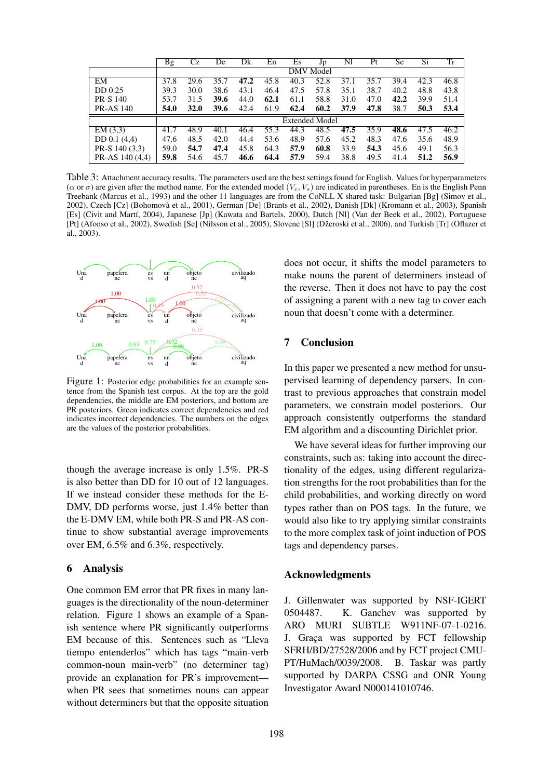|                  | <b>Bg</b>             | Сz          | De   | Dk   | En   | Es   | Jp   | Nl   | Pt   | Se   | $\overline{S}i$ | $\overline{\text{Tr}}$ |
|------------------|-----------------------|-------------|------|------|------|------|------|------|------|------|-----------------|------------------------|
|                  | DMV Model             |             |      |      |      |      |      |      |      |      |                 |                        |
| EM               | 37.8                  | 29.6        | 35.7 | 47.2 | 45.8 | 40.3 | 52.8 | 37.1 | 35.7 | 39.4 | 42.3            | 46.8                   |
| DD 0.25          | 39.3                  | 30.0        | 38.6 | 43.1 | 46.4 | 47.5 | 57.8 | 35.1 | 38.7 | 40.2 | 48.8            | 43.8                   |
| <b>PR-S 140</b>  | 53.7                  | 31.5        | 39.6 | 44.0 | 62.1 | 61.1 | 58.8 | 31.0 | 47.0 | 42.2 | 39.9            | 51.4                   |
| <b>PR-AS 140</b> | 54.0                  | <b>32.0</b> | 39.6 | 42.4 | 61.9 | 62.4 | 60.2 | 37.9 | 47.8 | 38.7 | 50.3            | 53.4                   |
|                  | <b>Extended Model</b> |             |      |      |      |      |      |      |      |      |                 |                        |
| EM(3,3)          | 41.7                  | 48.9        | 40.1 | 46.4 | 55.3 | 44.3 | 48.5 | 47.5 | 35.9 | 48.6 | 47.5            | 46.2                   |
| DD 0.1 (4.4)     | 47.6                  | 48.5        | 42.0 | 44.4 | 53.6 | 48.9 | 57.6 | 45.2 | 48.3 | 47.6 | 35.6            | 48.9                   |
| PR-S 140 (3,3)   | 59.0                  | 54.7        | 47.4 | 45.8 | 64.3 | 57.9 | 60.8 | 33.9 | 54.3 | 45.6 | 49.1            | 56.3                   |
| PR-AS 140 (4,4)  | 59.8                  | 54.6        | 45.7 | 46.6 | 64.4 | 57.9 | 59.4 | 38.8 | 49.5 | 41.4 | 51.2            | 56.9                   |

Table 3: Attachment accuracy results. The parameters used are the best settings found for English. Values for hyperparameters ( $\alpha$  or  $\sigma$ ) are given after the method name. For the extended model ( $V_c$ ,  $V_s$ ) are indicated in parentheses. En is the English Penn Treebank (Marcus et al., 1993) and the other 11 languages are from the CoNLL X shared task: Bulgarian [Bg] (Simov et al., 2002), Czech [Cz] (Bohomovà et al., 2001), German [De] (Brants et al., 2002), Danish [Dk] (Kromann et al., 2003), Spanish [Es] (Civit and Martí, 2004), Japanese [Jp] (Kawata and Bartels, 2000), Dutch [Nl] (Van der Beek et al., 2002), Portuguese [Pt] (Afonso et al., 2002), Swedish [Se] (Nilsson et al., 2005), Slovene [Sl] (Džeroski et al., 2006), and Turkish [Tr] (Oflazer et al., 2003).



Figure 1: Posterior edge probabilities for an example sentence from the Spanish test corpus. At the top are the gold dependencies, the middle are EM posteriors, and bottom are PR posteriors. Green indicates correct dependencies and red indicates incorrect dependencies. The numbers on the edges are the values of the posterior probabilities.

though the average increase is only 1.5%. PR-S is also better than DD for 10 out of 12 languages. If we instead consider these methods for the E-DMV, DD performs worse, just 1.4% better than the E-DMV EM, while both PR-S and PR-AS continue to show substantial average improvements over EM, 6.5% and 6.3%, respectively.

## 6 Analysis

One common EM error that PR fixes in many languages is the directionality of the noun-determiner relation. Figure 1 shows an example of a Spanish sentence where PR significantly outperforms EM because of this. Sentences such as "Lleva tiempo entenderlos" which has tags "main-verb common-noun main-verb" (no determiner tag) provide an explanation for PR's improvement when PR sees that sometimes nouns can appear without determiners but that the opposite situation

does not occur, it shifts the model parameters to make nouns the parent of determiners instead of the reverse. Then it does not have to pay the cost of assigning a parent with a new tag to cover each noun that doesn't come with a determiner.

# 7 Conclusion

In this paper we presented a new method for unsupervised learning of dependency parsers. In contrast to previous approaches that constrain model parameters, we constrain model posteriors. Our approach consistently outperforms the standard EM algorithm and a discounting Dirichlet prior.

We have several ideas for further improving our constraints, such as: taking into account the directionality of the edges, using different regularization strengths for the root probabilities than for the child probabilities, and working directly on word types rather than on POS tags. In the future, we would also like to try applying similar constraints to the more complex task of joint induction of POS tags and dependency parses.

# Acknowledgments

J. Gillenwater was supported by NSF-IGERT 0504487. K. Ganchev was supported by ARO MURI SUBTLE W911NF-07-1-0216. J. Graça was supported by FCT fellowship SFRH/BD/27528/2006 and by FCT project CMU-PT/HuMach/0039/2008. B. Taskar was partly supported by DARPA CSSG and ONR Young Investigator Award N000141010746.